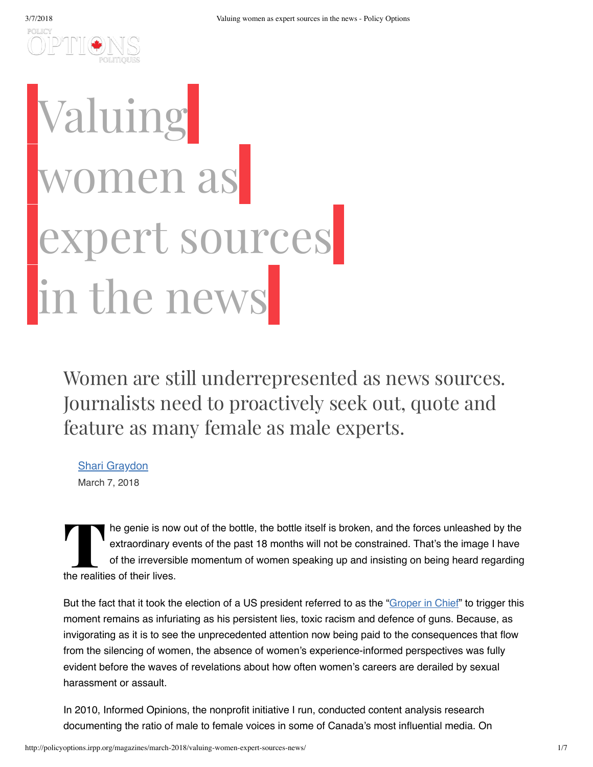

## Valuing omen as expert sources in the news

Women are still underrepresented as news sources. Journalists need to proactively seek out, quote and feature as many female as male experts.

[Shari Graydon](http://policyoptions.irpp.org/?post_type=authors&p=62022) March 7, 2018

POILIC

The genie is now<br>extraordinary e<br>of the irreversit<br>the realities of their lives. he genie is now out of the bottle, the bottle itself is broken, and the forces unleashed by the extraordinary events of the past 18 months will not be constrained. That's the image I have of the irreversible momentum of women speaking up and insisting on being heard regarding

But the fact that it took the election of a US president referred to as the ["Groper](https://www.nytimes.com/2016/10/09/opinion/sunday/donald-trump-groper-in-chief.html) in Chief" to trigger this moment remains as infuriating as his persistent lies, toxic racism and defence of guns. Because, as invigorating as it is to see the unprecedented attention now being paid to the consequences that flow from the silencing of women, the absence of women's experience-informed perspectives was fully evident before the waves of revelations about how often women's careers are derailed by sexual harassment or assault.

In 2010, Informed Opinions, the nonprofit initiative I run, conducted content analysis research documenting the ratio of male to female voices in some of Canada's most influential media. On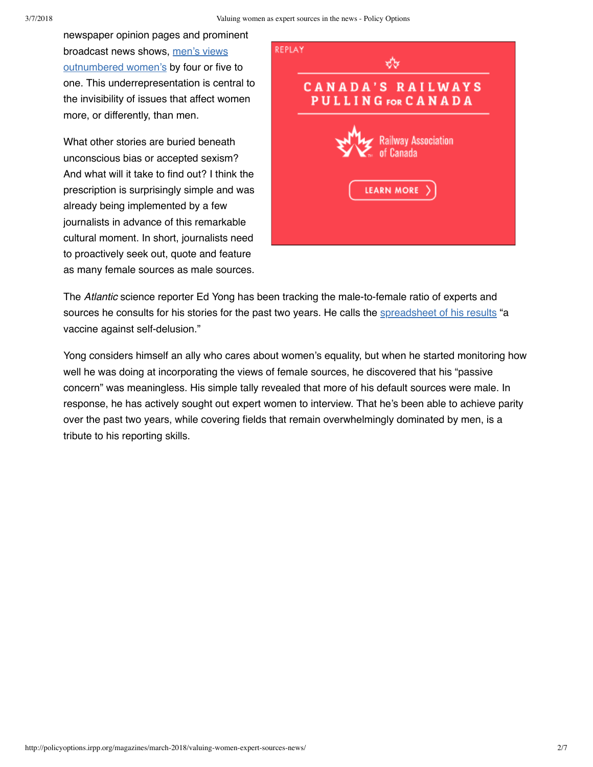newspaper opinion pages and prominent broadcast news shows, men's views [outnumbered](https://informedopinions.org/about/research/#2010) women's by four or five to one. This underrepresentation is central to the invisibility of issues that affect women more, or differently, than men.

What other stories are buried beneath unconscious bias or accepted sexism? And what will it take to find out? I think the prescription is surprisingly simple and was already being implemented by a few journalists in advance of this remarkable cultural moment. In short, journalists need to proactively seek out, quote and feature as many female sources as male sources.



The *Atlantic* science reporter Ed Yong has been tracking the male-to-female ratio of experts and sources he consults for his stories for the past two years. He calls the **[spreadsheet](https://www.theatlantic.com/science/archive/2018/02/i-spent-two-years-trying-to-fix-the-gender-imbalance-in-my-stories/552404/) of his results** "a vaccine against self-delusion."

Yong considers himself an ally who cares about women's equality, but when he started monitoring how well he was doing at incorporating the views of female sources, he discovered that his "passive concern" was meaningless. His simple tally revealed that more of his default sources were male. In response, he has actively sought out expert women to interview. That he's been able to achieve parity over the past two years, while covering fields that remain overwhelmingly dominated by men, is a tribute to his reporting skills.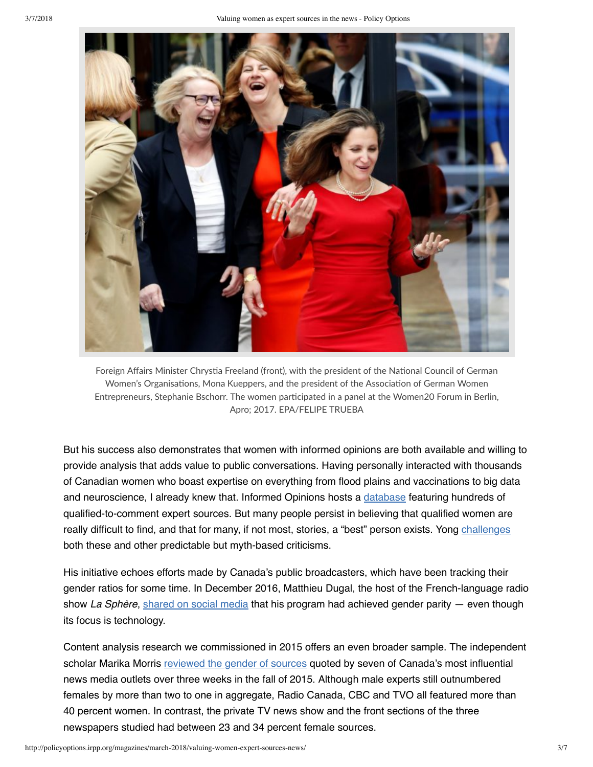

Foreign Affairs Minister Chrystia Freeland (front), with the president of the National Council of German Women's Organisations, Mona Kueppers, and the president of the Association of German Women Entrepreneurs, Stephanie Bschorr. The women participated in a panel at the Women20 Forum in Berlin, Apro; 2017. EPA/FELIPE TRUEBA

But his success also demonstrates that women with informed opinions are both available and willing to provide analysis that adds value to public conversations. Having personally interacted with thousands of Canadian women who boast expertise on everything from flood plains and vaccinations to big data and neuroscience, I already knew that. Informed Opinions hosts a [database](https://informedopinions.org/find-experts/) featuring hundreds of qualified-to-comment expert sources. But many people persist in believing that qualified women are really difficult to find, and that for many, if not most, stories, a "best" person exists. Yong [challenges](https://www.theatlantic.com/science/archive/2018/02/i-spent-two-years-trying-to-fix-the-gender-imbalance-in-my-stories/552404/) both these and other predictable but myth-based criticisms.

His initiative echoes efforts made by Canada's public broadcasters, which have been tracking their gender ratios for some time. In December 2016, Matthieu Dugal, the host of the French-language radio show *La Sphère*, [shared](https://www.facebook.com/groups/radiocanadalab/permalink/1311653312209840/) on social media that his program had achieved gender parity — even though its focus is technology.

Content analysis research we commissioned in 2015 offers an even broader sample. The independent scholar Marika Morris [reviewed](https://informedopinions.org/wp-content/uploads/2017/08/Gender-of-sources-in-Canadian-media-.pdf) the gender of sources quoted by seven of Canada's most influential news media outlets over three weeks in the fall of 2015. Although male experts still outnumbered females by more than two to one in aggregate, Radio Canada, CBC and TVO all featured more than 40 percent women. In contrast, the private TV news show and the front sections of the three newspapers studied had between 23 and 34 percent female sources.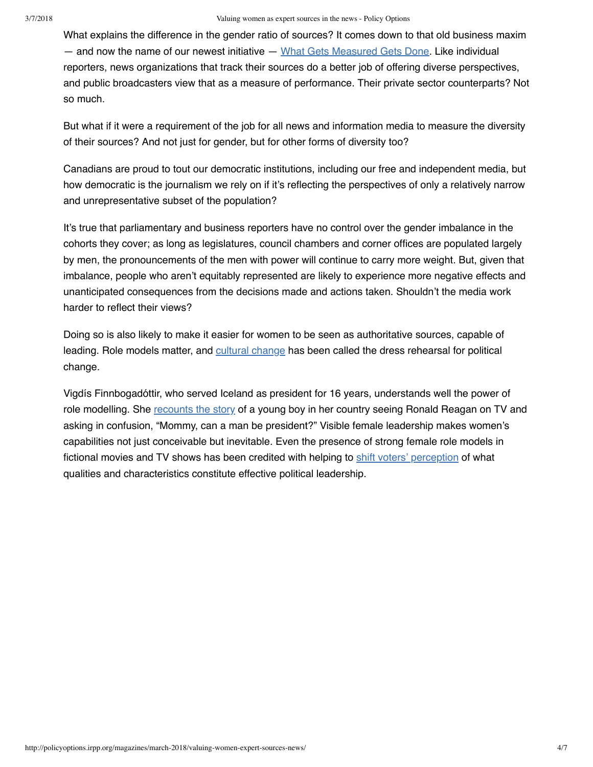What explains the difference in the gender ratio of sources? It comes down to that old business maxim — and now the name of our newest initiative — What Gets [Measured](https://informedopinions.org/what-gets-measured-gets-done/) Gets Done. Like individual reporters, news organizations that track their sources do a better job of offering diverse perspectives, and public broadcasters view that as a measure of performance. Their private sector counterparts? Not so much.

But what if it were a requirement of the job for all news and information media to measure the diversity of their sources? And not just for gender, but for other forms of diversity too?

Canadians are proud to tout our democratic institutions, including our free and independent media, but how democratic is the journalism we rely on if it's reflecting the perspectives of only a relatively narrow and unrepresentative subset of the population?

It's true that parliamentary and business reporters have no control over the gender imbalance in the cohorts they cover; as long as legislatures, council chambers and corner offices are populated largely by men, the pronouncements of the men with power will continue to carry more weight. But, given that imbalance, people who aren't equitably represented are likely to experience more negative effects and unanticipated consequences from the decisions made and actions taken. Shouldn't the media work harder to reflect their views?

Doing so is also likely to make it easier for women to be seen as authoritative sources, capable of leading. Role models matter, and [cultural](https://www.politicalparity.org/wp-content/uploads/2015/06/Media-Guide-on-Women-in-Politics2.pdf) change has been called the dress rehearsal for political change.

Vigdís Finnbogadóttir, who served Iceland as president for 16 years, understands well the power of role modelling. She [recounts](https://player.fm/series/the-documentary-1301446/her-story-made-history-vigdis-finnbogadottir) the story of a young boy in her country seeing Ronald Reagan on TV and asking in confusion, "Mommy, can a man be president?" Visible female leadership makes women's capabilities not just conceivable but inevitable. Even the presence of strong female role models in fictional movies and TV shows has been credited with helping to shift voters' [perception](https://newswise.com/articles/fictional-leaders-effect-how-voters-view-presidential-candidates) of what qualities and characteristics constitute effective political leadership.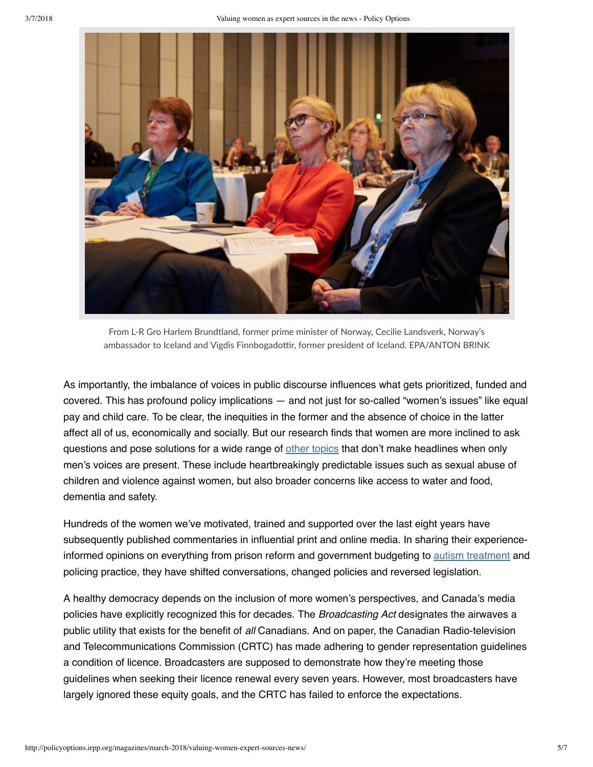

From L‐R Gro Harlem Brundtland, former prime minister of Norway, Cecilie Landsverk, Norway's ambassador to Iceland and Vigdis Finnbogadottir, former president of Iceland. EPA/ANTON BRINK

As importantly, the imbalance of voices in public discourse influences what gets prioritized, funded and covered. This has profound policy implications — and not just for so-called "women's issues" like equal pay and child care. To be clear, the inequities in the former and the absence of choice in the latter affect all of us, economically and socially. But our research finds that women are more inclined to ask questions and pose solutions for a wide range of other [topics](https://informedopinions.org/wordcloud/) that don't make headlines when only men's voices are present. These include heartbreakingly predictable issues such as sexual abuse of children and violence against women, but also broader concerns like access to water and food, dementia and safety.

Hundreds of the women we've motivated, trained and supported over the last eight years have subsequently published commentaries in influential print and online media. In sharing their experienceinformed opinions on everything from prison reform and government budgeting to autism [treatment](https://informedopinions.org/they-read-my-entire-op-ed-in-the-debate/) and policing practice, they have shifted conversations, changed policies and reversed legislation.

A healthy democracy depends on the inclusion of more women's perspectives, and Canada's media policies have explicitly recognized this for decades. The *Broadcasting Act* designates the airwaves a public utility that exists for the benefit of *all* Canadians. And on paper, the Canadian Radio-television and Telecommunications Commission (CRTC) has made adhering to gender representation guidelines a condition of licence. Broadcasters are supposed to demonstrate how they're meeting those guidelines when seeking their licence renewal every seven years. However, most broadcasters have largely ignored these equity goals, and the CRTC has failed to enforce the expectations.